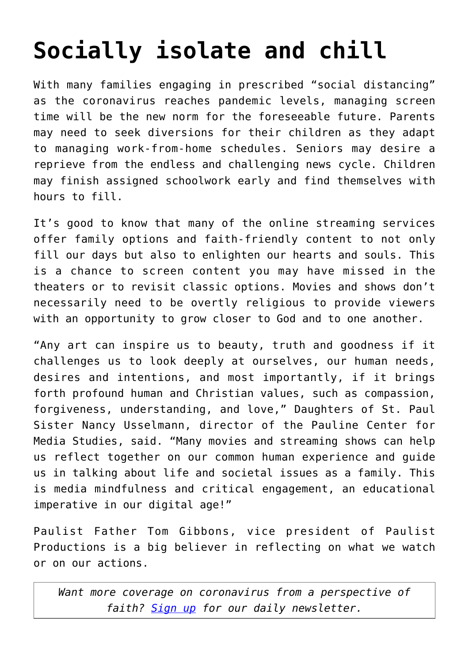## **[Socially isolate and chill](https://www.osvnews.com/2020/03/17/socially-isolate-and-chill/)**

With many families engaging in prescribed "social distancing" as the coronavirus reaches pandemic levels, managing screen time will be the new norm for the foreseeable future. Parents may need to seek diversions for their children as they adapt to managing work-from-home schedules. Seniors may desire a reprieve from the endless and challenging news cycle. Children may finish assigned schoolwork early and find themselves with hours to fill.

It's good to know that many of the online streaming services offer family options and faith-friendly content to not only fill our days but also to enlighten our hearts and souls. This is a chance to screen content you may have missed in the theaters or to revisit classic options. Movies and shows don't necessarily need to be overtly religious to provide viewers with an opportunity to grow closer to God and to one another.

"Any art can inspire us to beauty, truth and goodness if it challenges us to look deeply at ourselves, our human needs, desires and intentions, and most importantly, if it brings forth profound human and Christian values, such as compassion, forgiveness, understanding, and love," Daughters of St. Paul Sister Nancy Usselmann, director of the Pauline Center for Media Studies, said. "Many movies and streaming shows can help us reflect together on our common human experience and guide us in talking about life and societal issues as a family. This is media mindfulness and critical engagement, an educational imperative in our digital age!"

Paulist Father Tom Gibbons, vice president of Paulist Productions is a big believer in reflecting on what we watch or on our actions.

*Want more coverage on coronavirus from a perspective of faith? [Sign up](https://reply.osv.com/covid-19) for our daily newsletter.*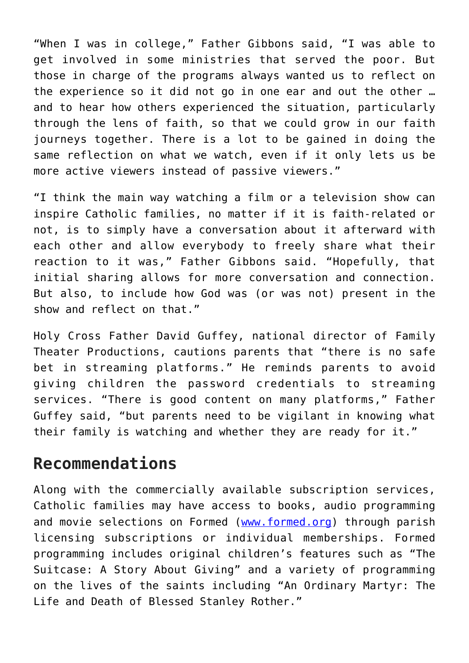"When I was in college," Father Gibbons said, "I was able to get involved in some ministries that served the poor. But those in charge of the programs always wanted us to reflect on the experience so it did not go in one ear and out the other … and to hear how others experienced the situation, particularly through the lens of faith, so that we could grow in our faith journeys together. There is a lot to be gained in doing the same reflection on what we watch, even if it only lets us be more active viewers instead of passive viewers."

"I think the main way watching a film or a television show can inspire Catholic families, no matter if it is faith-related or not, is to simply have a conversation about it afterward with each other and allow everybody to freely share what their reaction to it was," Father Gibbons said. "Hopefully, that initial sharing allows for more conversation and connection. But also, to include how God was (or was not) present in the show and reflect on that."

Holy Cross Father David Guffey, national director of Family Theater Productions, cautions parents that "there is no safe bet in streaming platforms." He reminds parents to avoid giving children the password credentials to streaming services. "There is good content on many platforms," Father Guffey said, "but parents need to be vigilant in knowing what their family is watching and whether they are ready for it."

## **Recommendations**

Along with the commercially available subscription services, Catholic families may have access to books, audio programming and movie selections on Formed [\(www.formed.org](http://www.formed.org)) through parish licensing subscriptions or individual memberships. Formed programming includes original children's features such as "The Suitcase: A Story About Giving" and a variety of programming on the lives of the saints including "An Ordinary Martyr: The Life and Death of Blessed Stanley Rother."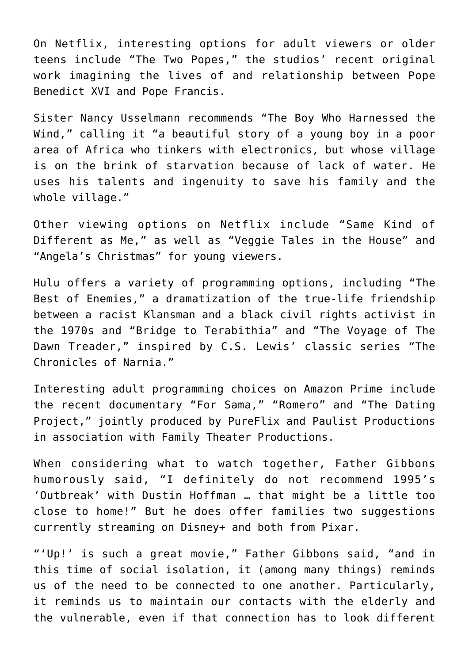On Netflix, interesting options for adult viewers or older teens include "The Two Popes," the studios' recent original work imagining the lives of and relationship between Pope Benedict XVI and Pope Francis.

Sister Nancy Usselmann recommends "The Boy Who Harnessed the Wind," calling it "a beautiful story of a young boy in a poor area of Africa who tinkers with electronics, but whose village is on the brink of starvation because of lack of water. He uses his talents and ingenuity to save his family and the whole village."

Other viewing options on Netflix include "Same Kind of Different as Me," as well as "Veggie Tales in the House" and "Angela's Christmas" for young viewers.

Hulu offers a variety of programming options, including "The Best of Enemies," a dramatization of the true-life friendship between a racist Klansman and a black civil rights activist in the 1970s and "Bridge to Terabithia" and "The Voyage of The Dawn Treader," inspired by C.S. Lewis' classic series "The Chronicles of Narnia."

Interesting adult programming choices on Amazon Prime include the recent documentary "For Sama," "Romero" and "The Dating Project," jointly produced by PureFlix and Paulist Productions in association with Family Theater Productions.

When considering what to watch together, Father Gibbons humorously said, "I definitely do not recommend 1995's 'Outbreak' with Dustin Hoffman … that might be a little too close to home!" But he does offer families two suggestions currently streaming on Disney+ and both from Pixar.

"'Up!' is such a great movie," Father Gibbons said, "and in this time of social isolation, it (among many things) reminds us of the need to be connected to one another. Particularly, it reminds us to maintain our contacts with the elderly and the vulnerable, even if that connection has to look different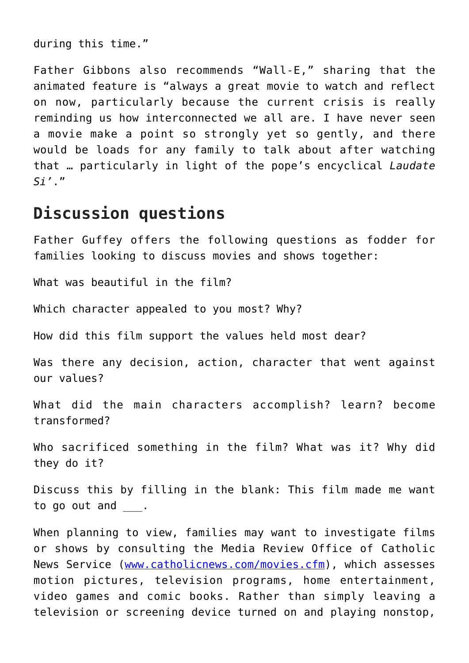during this time."

Father Gibbons also recommends "Wall-E," sharing that the animated feature is "always a great movie to watch and reflect on now, particularly because the current crisis is really reminding us how interconnected we all are. I have never seen a movie make a point so strongly yet so gently, and there would be loads for any family to talk about after watching that … particularly in light of the pope's encyclical *Laudate Si'*."

## **Discussion questions**

Father Guffey offers the following questions as fodder for families looking to discuss movies and shows together:

What was beautiful in the film?

Which character appealed to you most? Why?

How did this film support the values held most dear?

Was there any decision, action, character that went against our values?

What did the main characters accomplish? learn? become transformed?

Who sacrificed something in the film? What was it? Why did they do it?

Discuss this by filling in the blank: This film made me want to go out and .

When planning to view, families may want to investigate films or shows by consulting the Media Review Office of Catholic News Service [\(www.catholicnews.com/movies.cfm](http://www.catholicnews.com/movies.cfm)), which assesses motion pictures, television programs, home entertainment, video games and comic books. Rather than simply leaving a television or screening device turned on and playing nonstop,